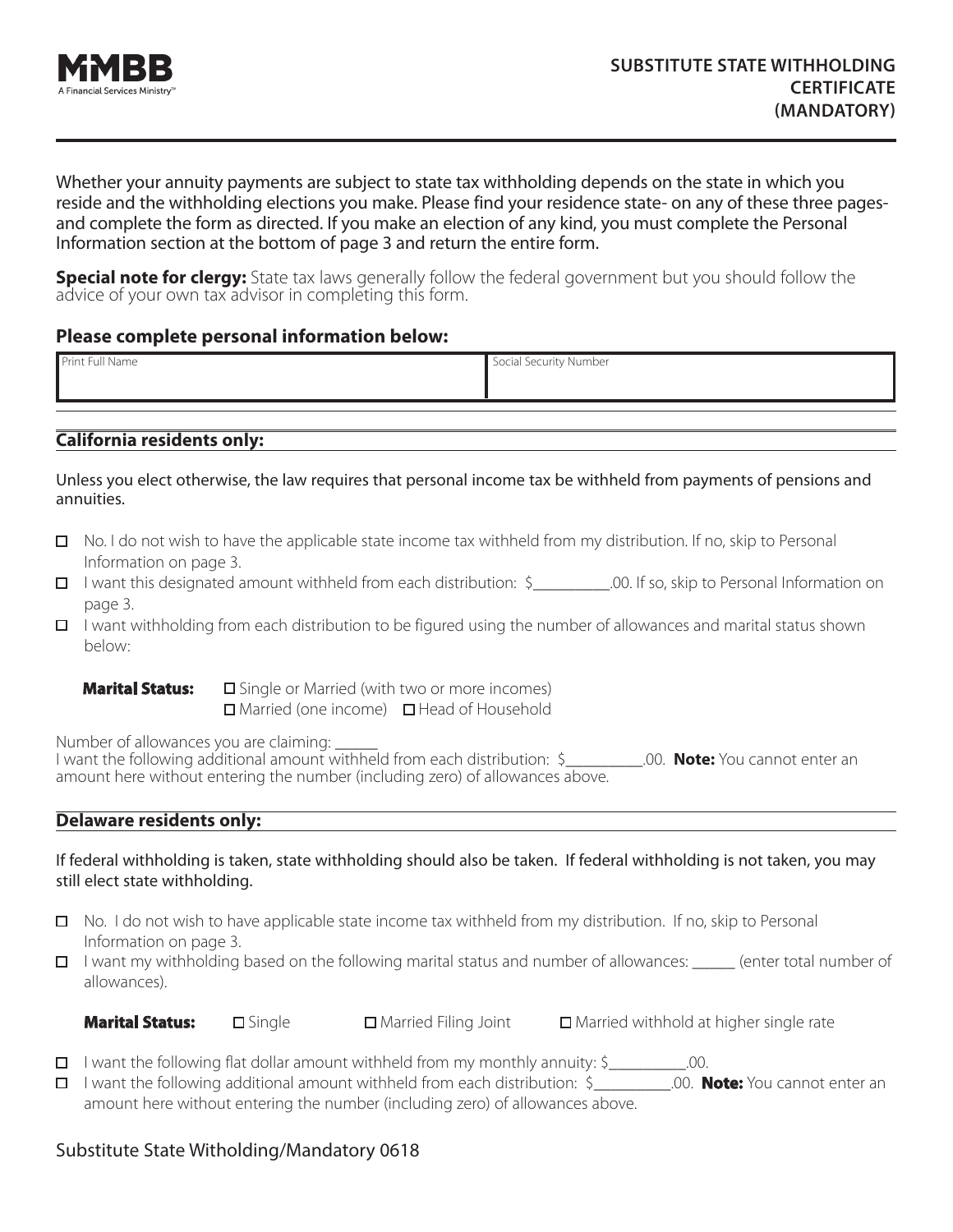

Whether your annuity payments are subject to state tax withholding depends on the state in which you reside and the withholding elections you make. Please find your residence state- on any of these three pagesand complete the form as directed. If you make an election of any kind, you must complete the Personal Information section at the bottom of page 3 and return the entire form.

**Special note for clergy:** State tax laws generally follow the federal government but you should follow the advice of your own tax advisor in completing this form.

### **Please complete personal information below:**

| Print Full Name | Social Security Number |
|-----------------|------------------------|
|                 |                        |

## **California residents only:**

Unless you elect otherwise, the law requires that personal income tax be withheld from payments of pensions and annuities.

- $\Box$  No. I do not wish to have the applicable state income tax withheld from my distribution. If no, skip to Personal Information on page 3.
- I want this designated amount withheld from each distribution: \$\_\_\_\_\_\_\_\_\_.00. If so, skip to Personal Information on page 3.
- $\Box$  I want withholding from each distribution to be figured using the number of allowances and marital status shown below:

**Marital Status:** □ Single or Married (with two or more incomes)  $\Box$  Married (one income)  $\Box$  Head of Household

Number of allowances you are claiming: \_\_\_\_\_

I want the following additional amount withheld from each distribution: \$\_\_\_\_\_\_\_\_\_.00. **Note:** You cannot enter an amount here without entering the number (including zero) of allowances above.

### **Delaware residents only:**

### If federal withholding is taken, state withholding should also be taken. If federal withholding is not taken, you may still elect state withholding.

- $\Box$  No. I do not wish to have applicable state income tax withheld from my distribution. If no, skip to Personal Information on page 3.
- $\Box$  I want my withholding based on the following marital status and number of allowances: (enter total number of allowances).

| <b>Marital Status:</b> | $\square$ Single | $\Box$ Married Filing Joint | $\Box$ Married withhold at higher single rate |
|------------------------|------------------|-----------------------------|-----------------------------------------------|
|------------------------|------------------|-----------------------------|-----------------------------------------------|

|  | $\Box$ I want the following flat dollar amount withheld from my monthly annuity: \$ |  | .00. |
|--|-------------------------------------------------------------------------------------|--|------|
|--|-------------------------------------------------------------------------------------|--|------|

I want the following additional amount withheld from each distribution: \$\_\_\_\_\_\_\_\_\_.00. **Note:** You cannot enter an amount here without entering the number (including zero) of allowances above.

## Substitute State Witholding/Mandatory 0618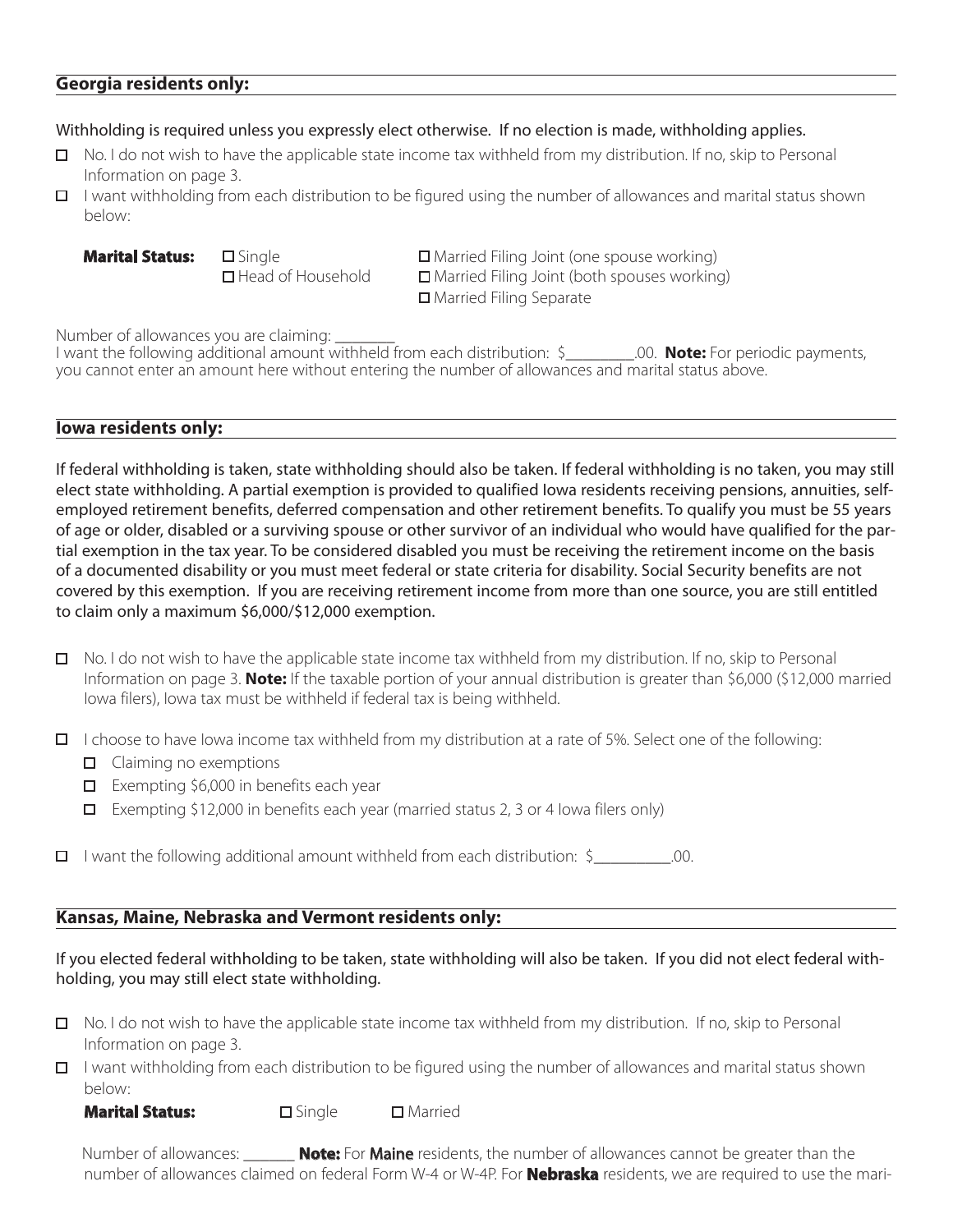### **Georgia residents only:**

#### Withholding is required unless you expressly elect otherwise. If no election is made, withholding applies.

- □ No. I do not wish to have the applicable state income tax withheld from my distribution. If no, skip to Personal Information on page 3.
- $\Box$  I want withholding from each distribution to be figured using the number of allowances and marital status shown below:

**Marital Status:** □ Single **Narital Status:** □ Single **D** Married Filing Joint (one spouse working)  $\Box$  Head of Household  $\Box$  Married Filing Joint (both spouses working) □ Married Filing Separate

Number of allowances you are claiming:

I want the following additional amount withheld from each distribution: \$ .00. **Note:** For periodic payments, you cannot enter an amount here without entering the number of allowances and marital status above.

#### **Iowa residents only:**

If federal withholding is taken, state withholding should also be taken. If federal withholding is no taken, you may still elect state withholding. A partial exemption is provided to qualified Iowa residents receiving pensions, annuities, selfemployed retirement benefits, deferred compensation and other retirement benefits. To qualify you must be 55 years of age or older, disabled or a surviving spouse or other survivor of an individual who would have qualified for the partial exemption in the tax year. To be considered disabled you must be receiving the retirement income on the basis of a documented disability or you must meet federal or state criteria for disability. Social Security benefits are not covered by this exemption. If you are receiving retirement income from more than one source, you are still entitled to claim only a maximum \$6,000/\$12,000 exemption.

 $\Box$  No. I do not wish to have the applicable state income tax withheld from my distribution. If no, skip to Personal Information on page 3. **Note:** If the taxable portion of your annual distribution is greater than \$6,000 (\$12,000 married Iowa filers), Iowa tax must be withheld if federal tax is being withheld.

 $\Box$  I choose to have Iowa income tax withheld from my distribution at a rate of 5%. Select one of the following:

- $\Box$  Claiming no exemptions
- Exempting \$6,000 in benefits each year
- Exempting \$12,000 in benefits each year (married status 2, 3 or 4 Iowa filers only)

 $\Box$  I want the following additional amount withheld from each distribution:  $\zeta$  \_\_\_\_\_\_\_\_\_\_\_\_\_.00.

### **Kansas, Maine, Nebraska and Vermont residents only:**

If you elected federal withholding to be taken, state withholding will also be taken. If you did not elect federal withholding, you may still elect state withholding.

- $\Box$  No. I do not wish to have the applicable state income tax withheld from my distribution. If no, skip to Personal Information on page 3.
- $\Box$  I want withholding from each distribution to be figured using the number of allowances and marital status shown below:

**Marital Status:**  $\Box$  Single  $\Box$  Married

 Number of allowances: \_\_\_\_\_\_ **Note:** For Maine residents, the number of allowances cannot be greater than the number of allowances claimed on federal Form W-4 or W-4P. For **Nebraska** residents, we are required to use the mari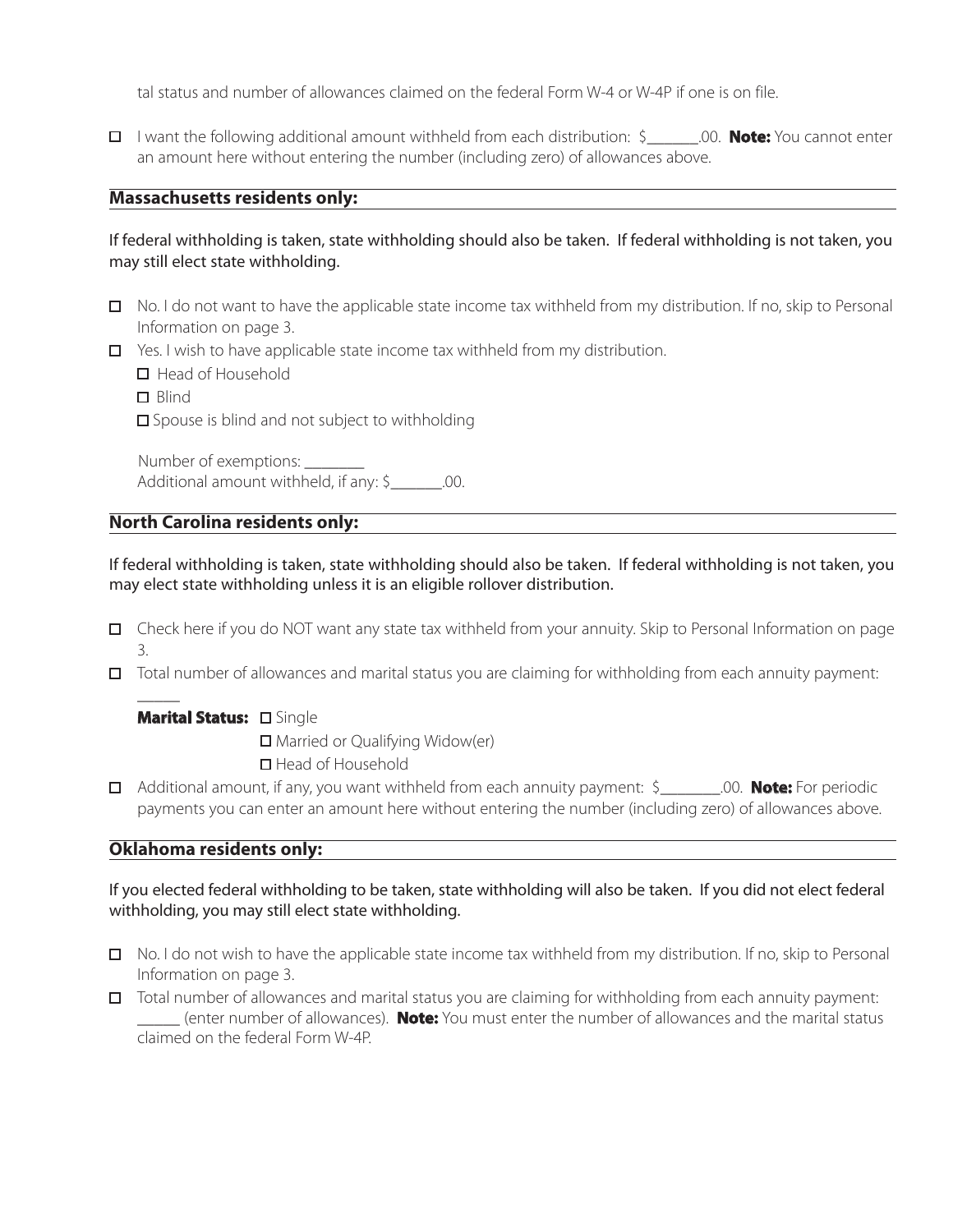tal status and number of allowances claimed on the federal Form W-4 or W-4P if one is on file.

I want the following additional amount withheld from each distribution: \$\_\_\_\_\_\_.00. **Note:** You cannot enter an amount here without entering the number (including zero) of allowances above.

### **Massachusetts residents only:**

### If federal withholding is taken, state withholding should also be taken. If federal withholding is not taken, you may still elect state withholding.

- $\Box$  No. I do not want to have the applicable state income tax withheld from my distribution. If no, skip to Personal Information on page 3.
- $\Box$  Yes. I wish to have applicable state income tax withheld from my distribution.
	- $\Box$  Head of Household
	- $\Box$  Blind

 $\overline{\phantom{a}}$ 

 $\square$  Spouse is blind and not subject to withholding

 Number of exemptions: \_\_\_\_\_\_\_ Additional amount withheld, if any: \$\_\_\_\_\_\_.00.

## **North Carolina residents only:**

If federal withholding is taken, state withholding should also be taken. If federal withholding is not taken, you may elect state withholding unless it is an eligible rollover distribution.

- Check here if you do NOT want any state tax withheld from your annuity. Skip to Personal Information on page 3.
- Total number of allowances and marital status you are claiming for withholding from each annuity payment:

### Marital Status: **O Single**

■ Married or Qualifying Widow(er) ■ Head of Household

Additional amount, if any, you want withheld from each annuity payment: \$\_\_\_\_\_\_\_.00. **Note:** For periodic payments you can enter an amount here without entering the number (including zero) of allowances above.

### **Oklahoma residents only:**

If you elected federal withholding to be taken, state withholding will also be taken. If you did not elect federal withholding, you may still elect state withholding.

- No. I do not wish to have the applicable state income tax withheld from my distribution. If no, skip to Personal Information on page 3.
- Total number of allowances and marital status you are claiming for withholding from each annuity payment: \_\_\_\_\_ (enter number of allowances). **Note:** You must enter the number of allowances and the marital status claimed on the federal Form W-4P.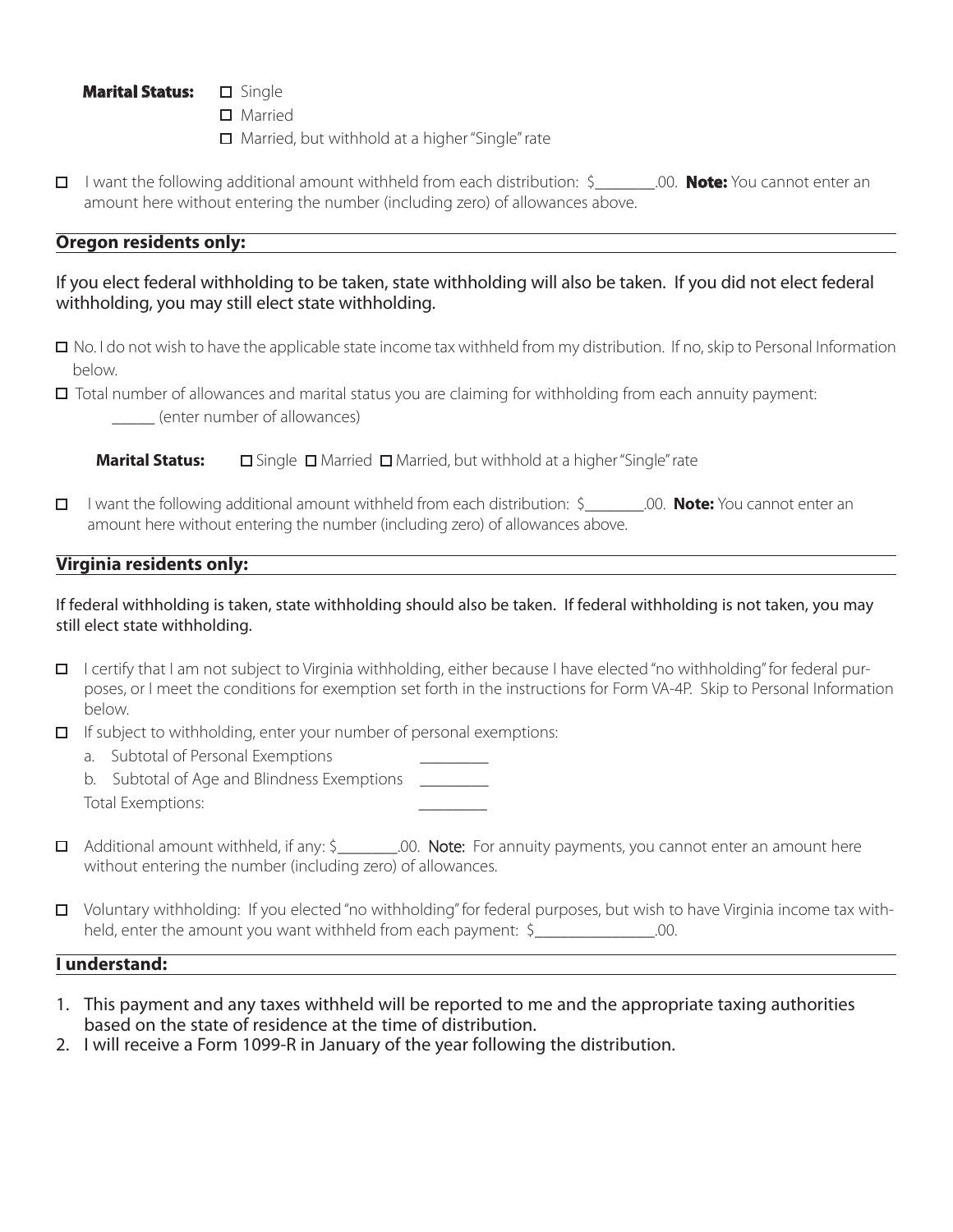#### Marital Status: **D** Single

- □ Married
- □ Married, but withhold at a higher "Single" rate
- I want the following additional amount withheld from each distribution: \$\_\_\_\_\_\_\_.00. **Note:** You cannot enter an amount here without entering the number (including zero) of allowances above.

### **Oregon residents only:**

### If you elect federal withholding to be taken, state withholding will also be taken. If you did not elect federal withholding, you may still elect state withholding.

- $\Box$  No. I do not wish to have the applicable state income tax withheld from my distribution. If no, skip to Personal Information below.
- Total number of allowances and marital status you are claiming for withholding from each annuity payment: \_\_\_\_\_ (enter number of allowances)

**Marital Status:** □ Single □ Married □ Married, but withhold at a higher "Single" rate

 I want the following additional amount withheld from each distribution: \$\_\_\_\_\_\_\_.00. **Note:** You cannot enter an amount here without entering the number (including zero) of allowances above.

## **Virginia residents only:**

#### If federal withholding is taken, state withholding should also be taken. If federal withholding is not taken, you may still elect state withholding.

- $\Box$  I certify that I am not subject to Virginia withholding, either because I have elected "no withholding" for federal purposes, or I meet the conditions for exemption set forth in the instructions for Form VA-4P. Skip to Personal Information below.
- $\Box$  If subject to withholding, enter your number of personal exemptions:
	- a. Subtotal of Personal Exemptions
	- b. Subtotal of Age and Blindness Exemptions Total Exemptions:
- □ Additional amount withheld, if any: \$<br>200. Note: For annuity payments, you cannot enter an amount here without entering the number (including zero) of allowances.
- Voluntary withholding: If you elected "no withholding" for federal purposes, but wish to have Virginia income tax withheld, enter the amount you want withheld from each payment: \$\_\_\_\_\_\_\_\_\_\_\_\_\_\_\_.00.

#### **I understand:**

- 1. This payment and any taxes withheld will be reported to me and the appropriate taxing authorities based on the state of residence at the time of distribution.
- 2. I will receive a Form 1099-R in January of the year following the distribution.